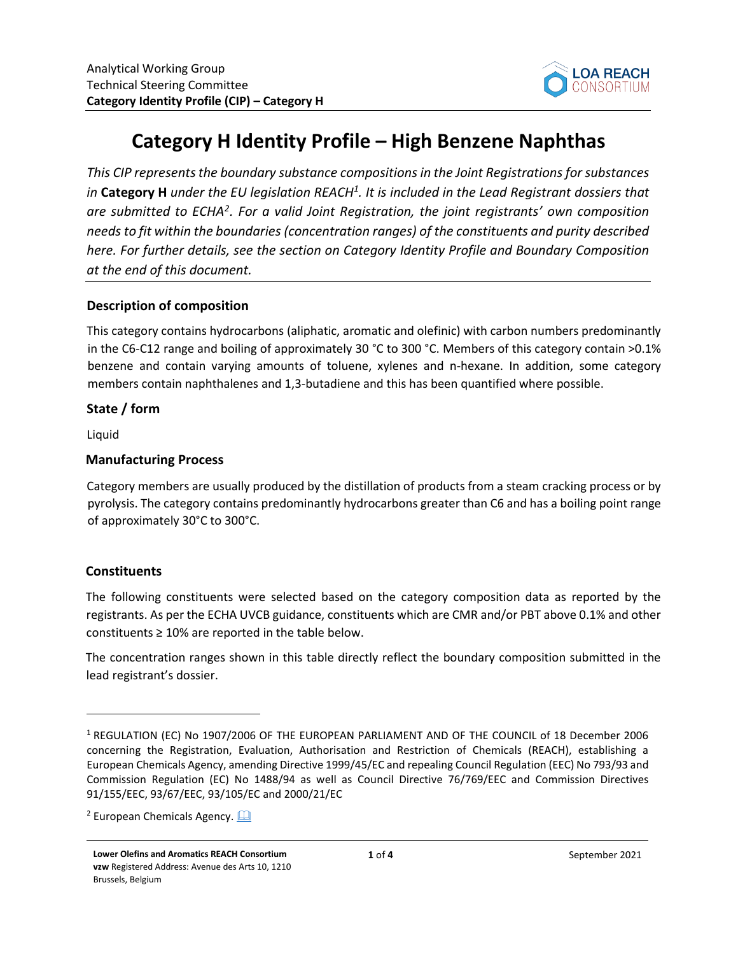

# **Category H Identity Profile – High Benzene Naphthas**

*This CIP represents the boundary substance compositionsin the Joint Registrationsforsubstances in* **Category H** *under the EU legislation REACH<sup>1</sup> . It is included in the Lead Registrant dossiers that are submitted to ECHA<sup>2</sup> . For a valid Joint Registration, the joint registrants' own composition needs to fit within the boundaries (concentration ranges) of the constituents and purity described here. For further details, see the section on Category Identity Profile and Boundary Composition at the end of this document.* 

## **Description of composition**

This category contains hydrocarbons (aliphatic, aromatic and olefinic) with carbon numbers predominantly in the C6-C12 range and boiling of approximately 30 °C to 300 °C. Members of this category contain >0.1% benzene and contain varying amounts of toluene, xylenes and n-hexane. In addition, some category members contain naphthalenes and 1,3-butadiene and this has been quantified where possible.

#### **State / form**

Liquid

## **Manufacturing Process**

Category members are usually produced by the distillation of products from a steam cracking process or by pyrolysis. The category contains predominantly hydrocarbons greater than C6 and has a boiling point range of approximately 30°C to 300°C.

## **Constituents**

The following constituents were selected based on the category composition data as reported by the registrants. As per the ECHA UVCB guidance, constituents which are CMR and/or PBT above 0.1% and other constituents  $\geq 10\%$  are reported in the table below.

The concentration ranges shown in this table directly reflect the boundary composition submitted in the lead registrant's dossier.

<sup>1</sup> REGULATION (EC) No 1907/2006 OF THE EUROPEAN PARLIAMENT AND OF THE COUNCIL of 18 December 2006 concerning the Registration, Evaluation, Authorisation and Restriction of Chemicals (REACH), establishing a European Chemicals Agency, amending Directive 1999/45/EC and repealing Council Regulation (EEC) No 793/93 and Commission Regulation (EC) No 1488/94 as well as Council Directive 76/769/EEC and Commission Directives 91/155/EEC, 93/67/EEC, 93/105/EC and 2000/21/EC

<sup>&</sup>lt;sup>2</sup> European Chemicals Agency.  $\Box$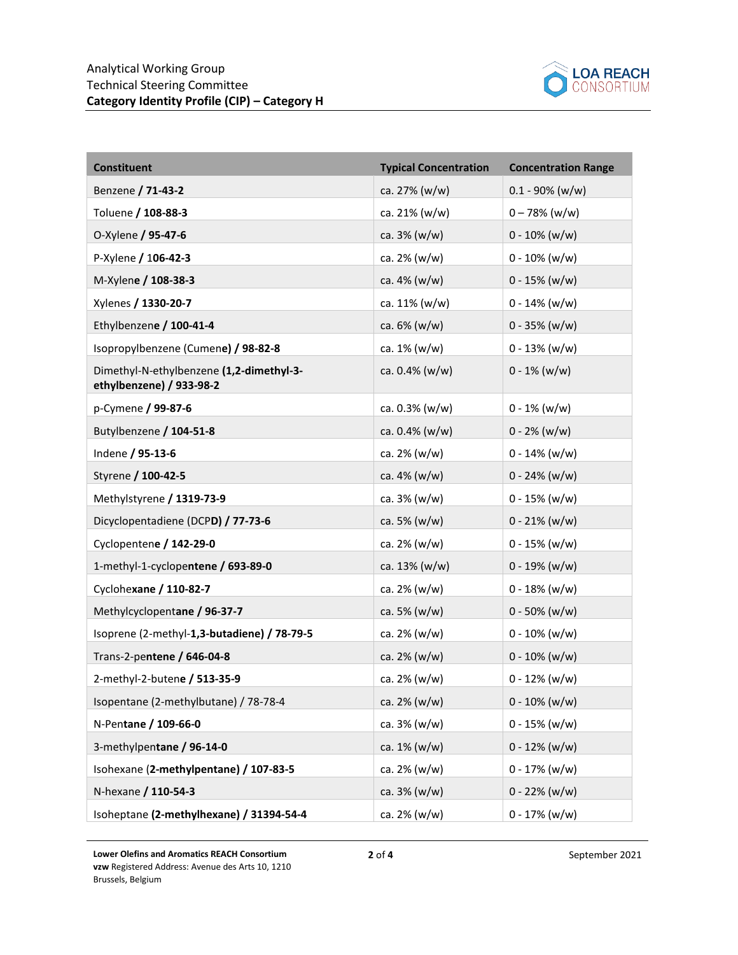

| <b>Constituent</b>                                                   | <b>Typical Concentration</b> | <b>Concentration Range</b> |
|----------------------------------------------------------------------|------------------------------|----------------------------|
| Benzene / 71-43-2                                                    | ca. 27% (w/w)                | $0.1 - 90\%$ (w/w)         |
| Toluene / 108-88-3                                                   | ca. 21% (w/w)                | $0 - 78%$ (w/w)            |
| O-Xylene / 95-47-6                                                   | ca. 3% (w/w)                 | $0 - 10\%$ (w/w)           |
| P-Xylene / 106-42-3                                                  | ca. 2% (w/w)                 | $0 - 10\%$ (w/w)           |
| M-Xylene / 108-38-3                                                  | ca. 4% (w/w)                 | $0 - 15\%$ (w/w)           |
| Xylenes / 1330-20-7                                                  | ca. 11% (w/w)                | $0 - 14\%$ (w/w)           |
| Ethylbenzene / 100-41-4                                              | ca. 6% (w/w)                 | $0 - 35\%$ (w/w)           |
| Isopropylbenzene (Cumene) / 98-82-8                                  | ca. 1% (w/w)                 | $0 - 13% (w/w)$            |
| Dimethyl-N-ethylbenzene (1,2-dimethyl-3-<br>ethylbenzene) / 933-98-2 | ca. 0.4% (w/w)               | $0 - 1\%$ (w/w)            |
| p-Cymene / 99-87-6                                                   | ca. 0.3% (w/w)               | $0 - 1\%$ (w/w)            |
| Butylbenzene / 104-51-8                                              | ca. $0.4\%$ (w/w)            | $0 - 2\%$ (w/w)            |
| Indene / 95-13-6                                                     | ca. 2% (w/w)                 | $0 - 14\%$ (w/w)           |
| Styrene / 100-42-5                                                   | ca. 4% (w/w)                 | $0 - 24\%$ (w/w)           |
| Methylstyrene / 1319-73-9                                            | ca. 3% (w/w)                 | $0 - 15\%$ (w/w)           |
| Dicyclopentadiene (DCPD) / 77-73-6                                   | ca. 5% (w/w)                 | $0 - 21\%$ (w/w)           |
| Cyclopentene / 142-29-0                                              | ca. 2% (w/w)                 | $0 - 15\%$ (w/w)           |
| 1-methyl-1-cyclopentene / 693-89-0                                   | ca. 13% (w/w)                | $0 - 19% (w/w)$            |
| Cyclohexane / 110-82-7                                               | ca. 2% (w/w)                 | $0 - 18\%$ (w/w)           |
| Methylcyclopentane / 96-37-7                                         | ca. 5% (w/w)                 | $0 - 50\%$ (w/w)           |
| Isoprene (2-methyl-1,3-butadiene) / 78-79-5                          | ca. 2% (w/w)                 | $0 - 10\%$ (w/w)           |
| Trans-2-pentene / 646-04-8                                           | ca. $2\%$ (w/w)              | $0 - 10\%$ (w/w)           |
| 2-methyl-2-butene / 513-35-9                                         | ca. 2% (w/w)                 | $0 - 12\%$ (w/w)           |
| Isopentane (2-methylbutane) / 78-78-4                                | ca. 2% (w/w)                 | $0 - 10\%$ (w/w)           |
| N-Pentane / 109-66-0                                                 | ca. 3% (w/w)                 | $0 - 15\%$ (w/w)           |
| 3-methylpentane / 96-14-0                                            | ca. 1% (w/w)                 | $0 - 12\%$ (w/w)           |
| Isohexane (2-methylpentane) / 107-83-5                               | ca. 2% (w/w)                 | $0 - 17\%$ (w/w)           |
| N-hexane / 110-54-3                                                  | ca. $3% (w/w)$               | $0 - 22% (w/w)$            |
| Isoheptane (2-methylhexane) / 31394-54-4                             | ca. 2% (w/w)                 | $0 - 17\%$ (w/w)           |

**Lower Olefins and Aromatics REACH Consortium vzw** Registered Address: Avenue des Arts 10, 1210 Brussels, Belgium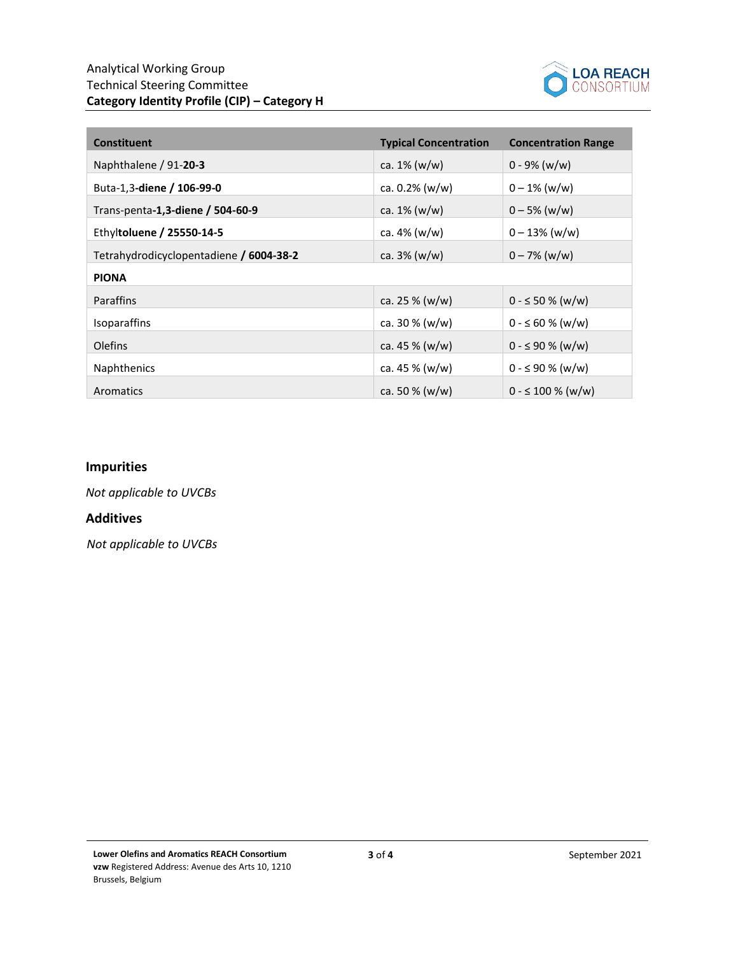

| <b>Constituent</b>                      | <b>Typical Concentration</b> | <b>Concentration Range</b> |
|-----------------------------------------|------------------------------|----------------------------|
| Naphthalene / 91-20-3                   | ca. $1\%$ (w/w)              | $0 - 9\%$ (w/w)            |
| Buta-1,3-diene / 106-99-0               | ca. $0.2\%$ (w/w)            | $0 - 1\%$ (w/w)            |
| Trans-penta-1,3-diene / 504-60-9        | ca. $1\%$ (w/w)              | $0 - 5\%$ (w/w)            |
| Ethyltoluene / 25550-14-5               | ca. $4\%$ (w/w)              | $0 - 13\%$ (w/w)           |
| Tetrahydrodicyclopentadiene / 6004-38-2 | ca. $3\%$ (w/w)              | $0 - 7\%$ (w/w)            |
| <b>PIONA</b>                            |                              |                            |
| <b>Paraffins</b>                        | ca. 25 $% (w/w)$             | $0 - \le 50 \%$ (w/w)      |
| <b>Isoparaffins</b>                     | ca. $30\%$ (w/w)             | $0 - \leq 60 \%$ (w/w)     |
| <b>Olefins</b>                          | ca. 45 $% (w/w)$             | $0 - \leq 90 \%$ (w/w)     |
| <b>Naphthenics</b>                      | ca. 45 $% (w/w)$             | $0 - \leq 90 \%$ (w/w)     |
| Aromatics                               | ca. 50 $% (w/w)$             | $0 - \leq 100 \%$ (w/w)    |

## **Impurities**

*Not applicable to UVCBs*

#### **Additives**

*Not applicable to UVCBs*